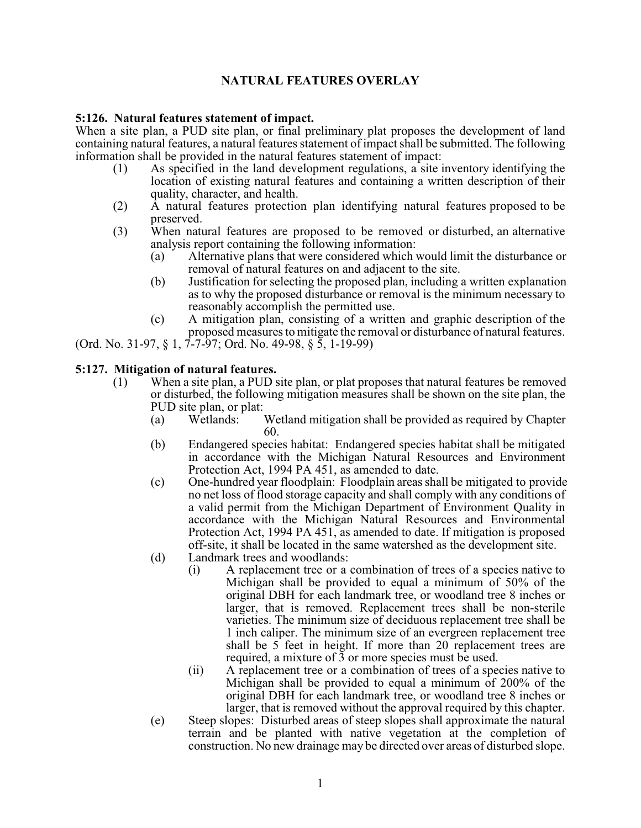# **NATURAL FEATURES OVERLAY**

#### **5:126. Natural features statement of impact.**

When a site plan, a PUD site plan, or final preliminary plat proposes the development of land containing natural features, a natural features statement of impact shall be submitted. The following information shall be provided in the natural features statement of impact:

- (1) As specified in the land development regulations, a site inventory identifying the location of existing natural features and containing a written description of their quality, character, and health.
- (2) A natural features protection plan identifying natural features proposed to be preserved.
- (3) When natural features are proposed to be removed or disturbed, an alternative analysis report containing the following information:
	- (a) Alternative plans that were considered which would limit the disturbance or removal of natural features on and adjacent to the site.
	- (b) Justification for selecting the proposed plan, including a written explanation as to why the proposed disturbance or removal is the minimum necessary to reasonably accomplish the permitted use.
	- (c) A mitigation plan, consisting of a written and graphic description of the proposed measures to mitigate the removal or disturbance of natural features.

(Ord. No. 31-97, § 1, 7-7-97; Ord. No. 49-98, § 5, 1-19-99)

#### **5:127. Mitigation of natural features.**

- (1) When a site plan, a PUD site plan, or plat proposes that natural features be removed or disturbed, the following mitigation measures shall be shown on the site plan, the PUD site plan, or plat:<br>(a) Wetlands:
	- (a) Wetlands: Wetland mitigation shall be provided as required by Chapter 60.
	- (b) Endangered species habitat: Endangered species habitat shall be mitigated in accordance with the Michigan Natural Resources and Environment Protection Act, 1994 PA 451, as amended to date.
	- (c) One-hundred year floodplain: Floodplain areas shall be mitigated to provide no net loss of flood storage capacity and shall comply with any conditions of a valid permit from the Michigan Department of Environment Quality in accordance with the Michigan Natural Resources and Environmental Protection Act, 1994 PA 451, as amended to date. If mitigation is proposed off-site, it shall be located in the same watershed as the development site.
	- (d) Landmark trees and woodlands:
		- (i) A replacement tree or a combination of trees of a species native to Michigan shall be provided to equal a minimum of 50% of the original DBH for each landmark tree, or woodland tree 8 inches or larger, that is removed. Replacement trees shall be non-sterile varieties. The minimum size of deciduous replacement tree shall be 1 inch caliper. The minimum size of an evergreen replacement tree shall be 5 feet in height. If more than 20 replacement trees are required, a mixture of 3 or more species must be used.
		- (ii) A replacement tree or a combination of trees of a species native to Michigan shall be provided to equal a minimum of 200% of the original DBH for each landmark tree, or woodland tree 8 inches or larger, that is removed without the approval required by this chapter.
	- (e) Steep slopes: Disturbed areas of steep slopes shall approximate the natural terrain and be planted with native vegetation at the completion of construction. No new drainage may be directed over areas of disturbed slope.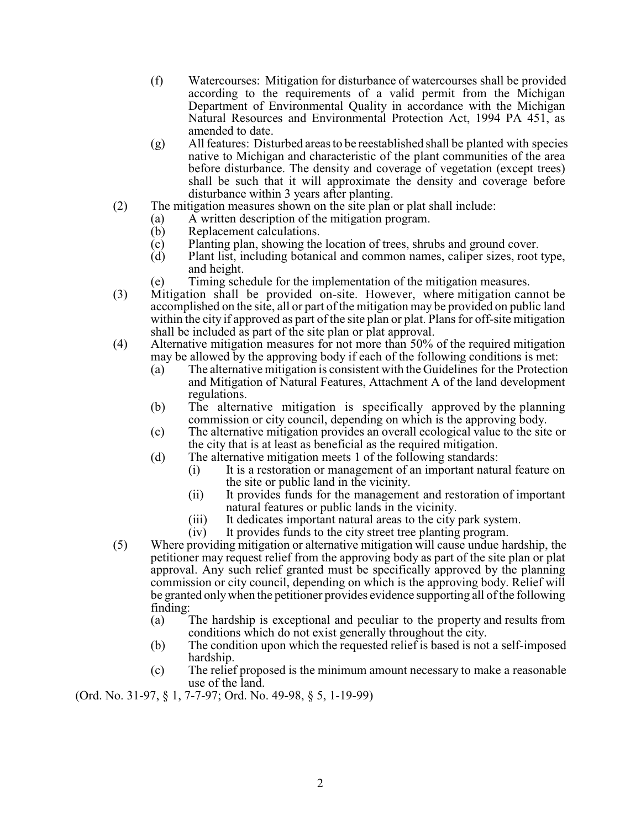- (f) Watercourses: Mitigation for disturbance of watercourses shall be provided according to the requirements of a valid permit from the Michigan Department of Environmental Quality in accordance with the Michigan Natural Resources and Environmental Protection Act, 1994 PA 451, as amended to date.
- (g) All features: Disturbed areas to be reestablished shall be planted with species native to Michigan and characteristic of the plant communities of the area before disturbance. The density and coverage of vegetation (except trees) shall be such that it will approximate the density and coverage before disturbance within 3 years after planting.
- (2) The mitigation measures shown on the site plan or plat shall include:
	- (a) A written description of the mitigation program.
		- (b) Replacement calculations.
		- (c) Planting plan, showing the location of trees, shrubs and ground cover.
		- (d) Plant list, including botanical and common names, caliper sizes, root type, and height.
		- (e) Timing schedule for the implementation of the mitigation measures.
- (3) Mitigation shall be provided on-site. However, where mitigation cannot be accomplished on the site, all or part of the mitigation may be provided on public land within the city if approved as part of the site plan or plat. Plans for off-site mitigation shall be included as part of the site plan or plat approval.
- (4) Alternative mitigation measures for not more than 50% of the required mitigation may be allowed by the approving body if each of the following conditions is met:
	- (a) The alternative mitigation is consistent with the Guidelines for the Protection and Mitigation of Natural Features, Attachment A of the land development regulations.
	- (b) The alternative mitigation is specifically approved by the planning commission or city council, depending on which is the approving body.
	- (c) The alternative mitigation provides an overall ecological value to the site or the city that is at least as beneficial as the required mitigation.
	- (d) The alternative mitigation meets 1 of the following standards:
		- (i) It is a restoration or management of an important natural feature on the site or public land in the vicinity.
		- (ii) It provides funds for the management and restoration of important natural features or public lands in the vicinity.
		- (iii) It dedicates important natural areas to the city park system.
		- (iv) It provides funds to the city street tree planting program.
- (5) Where providing mitigation or alternative mitigation will cause undue hardship, the petitioner may request relief from the approving body as part of the site plan or plat approval. Any such relief granted must be specifically approved by the planning commission or city council, depending on which is the approving body. Relief will be granted only when the petitioner provides evidence supporting all of the following finding:
	- (a) The hardship is exceptional and peculiar to the property and results from conditions which do not exist generally throughout the city.
	- (b) The condition upon which the requested relief is based is not a self-imposed hardship.
	- (c) The relief proposed is the minimum amount necessary to make a reasonable use of the land.

(Ord. No. 31-97, § 1, 7-7-97; Ord. No. 49-98, § 5, 1-19-99)